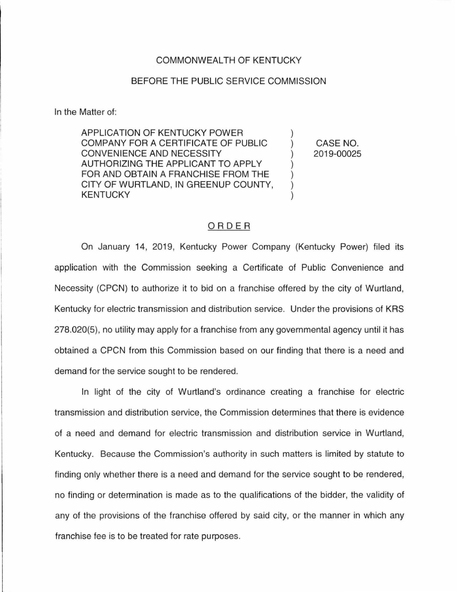## COMMONWEALTH OF KENTUCKY

## BEFORE THE PUBLIC SERVICE COMMISSION

In the Matter of:

APPLICATION OF KENTUCKY POWER COMPANY FOR A CERTIFICATE OF PUBLIC CONVENIENCE AND NECESSITY AUTHORIZING THE APPLICANT TO APPLY FOR AND OBTAIN A FRANCHISE FROM THE CITY OF WURTLAND, IN GREENUP COUNTY, KENTUCKY

CASE NO. 2019-00025

## ORDER

On January 14, 2019, Kentucky Power Company (Kentucky Power) filed its application with the Commission seeking a Certificate of Public Convenience and Necessity (CPCN) to authorize it to bid on a franchise offered by the city of Wurtland, Kentucky for electric transmission and distribution service. Under the provisions of KRS 278.020(5), no utility may apply for a franchise from any governmental agency until it has obtained a CPCN from this Commission based on our finding that there is a need and demand for the service sought to be rendered.

In light of the city of Wurtland's ordinance creating a franchise for electric transmission and distribution service, the Commission determines that there is evidence of a need and demand for electric transmission and distribution service in Wurtland, Kentucky. Because the Commission's authority in such matters is limited by statute to finding only whether there is a need and demand for the service sought to be rendered, no finding or determination is made as to the qualifications of the bidder, the validity of any of the provisions of the franchise offered by said city, or the manner in which any franchise fee is to be treated for rate purposes.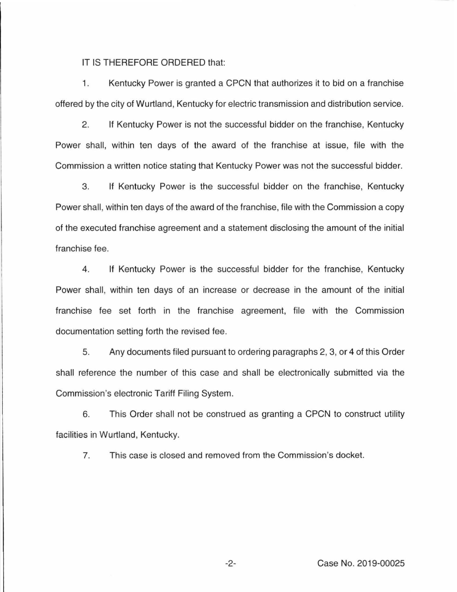IT IS THEREFORE ORDERED that:

1. Kentucky Power is granted a CPCN that authorizes it to bid on a franchise offered by the city of Wurtland, Kentucky for electric transmission and distribution service.

2. If Kentucky Power is not the successful bidder on the franchise, Kentucky Power shall, within ten days of the award of the franchise at issue, file with the Commission a written notice stating that Kentucky Power was not the successful bidder.

3. If Kentucky Power is the successful bidder on the franchise, Kentucky Power shall, within ten days of the award of the franchise, file with the Commission a copy of the executed franchise agreement and a statement disclosing the amount of the initial franchise fee.

4. If Kentucky Power is the successful bidder for the franchise, Kentucky Power shall, within ten days of an increase or decrease in the amount of the initial franchise fee set forth in the franchise agreement, file with the Commission documentation setting forth the revised fee.

5. Any documents filed pursuant to ordering paragraphs 2, 3, or 4 of this Order shall reference the number of this case and shall be electronically submitted via the Commission's electronic Tariff Filing System.

6. This Order shall not be construed as granting a CPCN to construct utility facilities in Wurtland, Kentucky.

7. This case is closed and removed from the Commission's docket.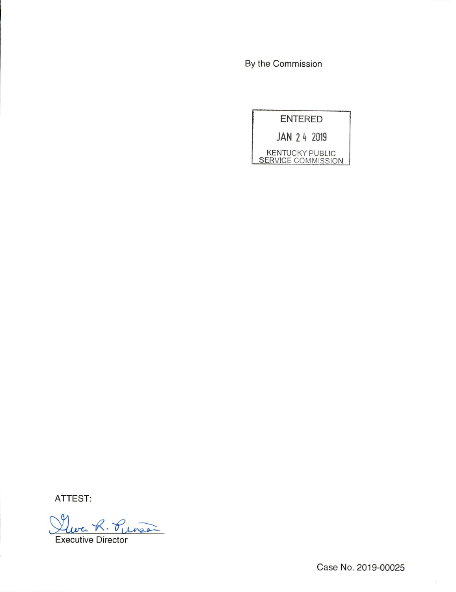By the Commission

ENTERED

JAN 2 h 2019

KENTUCKY PUBLIC SERVICE COMMISSION

ATTEST:

Leve R. Purson Executive Director

Case No. 2019-00025

 $\overline{\mathbb{S}}$  .